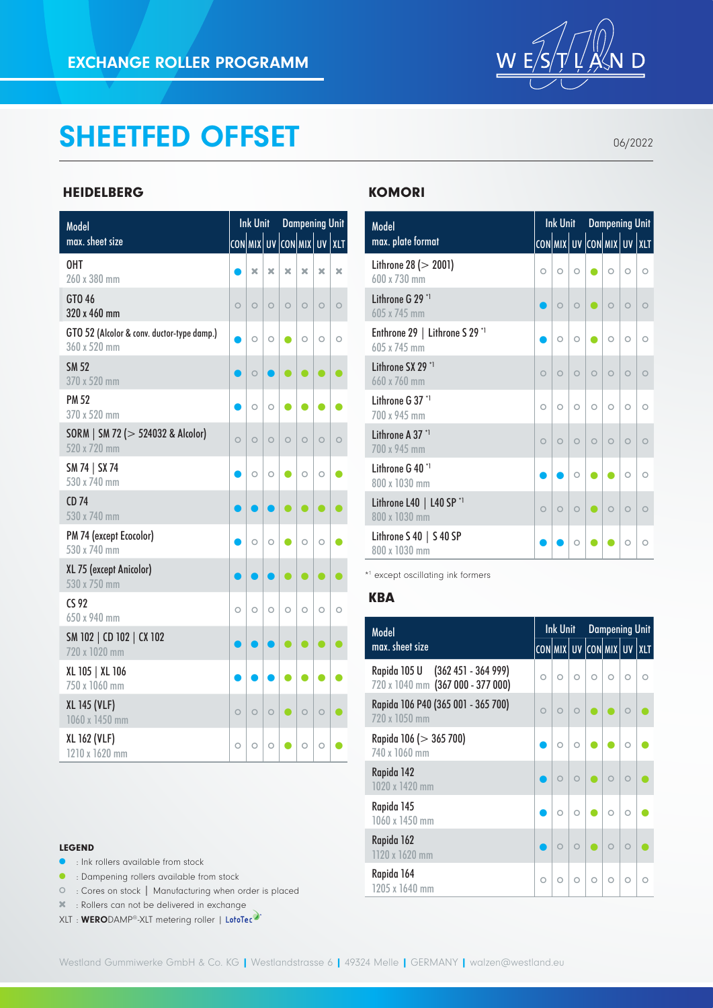

## SHEETFED OFFSET

06/2022

## HEIDELBERG

| Model                                                      |         | <b>Ink Unit</b> |         |                          |           | <b>Dampening Unit</b> |            |
|------------------------------------------------------------|---------|-----------------|---------|--------------------------|-----------|-----------------------|------------|
| max. sheet size                                            |         |                 |         | con mɪx  uv  con mɪx  uv |           |                       | XLT        |
| 0HT<br>260 x 380 mm                                        |         | ×               | ×       | ×                        | ×         | ×                     | ×          |
| GTO 46<br>320 x 460 mm                                     | $\circ$ | $\circ$         | $\circ$ | $\circ$                  | $\circ$   | $\circ$               | $\circ$    |
| GTO 52 (Alcolor & conv. ductor-type damp.)<br>360 x 520 mm |         | $\circ$         | $\circ$ | C                        | $\circ$   | $\circ$               | $\circ$    |
| <b>SM 52</b><br>370 x 520 mm                               |         | $\circ$         |         |                          |           |                       |            |
| <b>PM 52</b><br>370 x 520 mm                               |         | $\circ$         | $\circ$ | C                        |           |                       |            |
| SORM   SM 72 (> 524032 & Alcolor)<br>520 x 720 mm          | $\circ$ | $\circ$         | $\circ$ | $\circ$                  | $\circ$   | $\circ$               | $\circ$    |
| SM 74   SX 74<br>530 x 740 mm                              |         | $\circ$         | O       |                          | $\circ$   | $\circ$               |            |
| CD <sub>74</sub><br>530 x 740 mm                           |         |                 |         |                          | $\bullet$ | $\bullet$             |            |
| PM 74 (except Ecocolor)<br>530 x 740 mm                    |         | $\circ$         | $\circ$ |                          | $\circ$   | $\circ$               |            |
| XL 75 (except Anicolor)<br>530 x 750 mm                    |         |                 |         | ●                        | ●         | $\bullet$             |            |
| CS 92<br>650 x 940 mm                                      | $\circ$ | $\circ$         | $\circ$ | $\circ$                  | $\circ$   | $\circ$               | $\bigcirc$ |
| SM 102   CD 102   CX 102<br>720 x 1020 mm                  |         |                 |         |                          | O         | $\bullet$             |            |
| XL 105   XL 106<br>750 x 1060 mm                           |         |                 |         |                          |           |                       |            |
| <b>XL 145 (VLF)</b><br>1060 x 1450 mm                      | $\circ$ | $\circ$         | $\circ$ | o                        | $\circ$   | $\circ$               |            |
| XL 162 (VLF)<br>1210 x 1620 mm                             | $\circ$ | $\circ$         | O       |                          | $\circ$   | O                     |            |

#### LEGEND

- **•** : Ink rollers available from stock
- **•** : Dampening rollers available from stock
- : Cores on stock | Manufacturing when order is placed
- : Rollers can not be delivered in exchange
- XLT : WERODAMP®-XLT metering roller | LotoTec

## **KOMORI**

| Model                                                     |         | Ink Unit Dampening Unit |           |                               |         |           |            |
|-----------------------------------------------------------|---------|-------------------------|-----------|-------------------------------|---------|-----------|------------|
| max. plate format                                         |         |                         |           | con mix  uv  con mix  uv  xlt |         |           |            |
| Lithrone 28 ( $>$ 2001)<br>$600 \times 730$ mm            | O       | $\circ$                 | $\circ$   |                               | $\circ$ | $\circ$   | $\bigcirc$ |
| Lithrone G 29 *1<br>605 x 745 mm                          |         | $\circ$                 | $\bigcap$ |                               | $\circ$ | $\bigcap$ | $\bigcap$  |
| Enthrone 29   Lithrone S 29 *1<br>605 x 745 mm            |         | $\circ$                 | $\circ$   |                               | $\circ$ | $\circ$   | $\bigcirc$ |
| Lithrone SX 29 *1<br>660 x 760 mm                         | $\circ$ | $\circ$                 | $\circ$   | $\circ$                       | $\circ$ | $\circ$   | $\bigcirc$ |
| Lithrone G 37 *1<br>700 x 945 mm                          | $\circ$ | $\circ$                 | $\circ$   | $\circ$                       | $\circ$ | $\circ$   | $\bigcirc$ |
| Lithrone A 37 *1<br>700 x 945 mm                          | $\circ$ | $\circ$                 | $\circ$   | $\circ$                       | $\circ$ | $\circ$   | $\circ$    |
| Lithrone G 40 <sup>*1</sup><br>800 x 1030 mm              |         |                         | $\circ$   |                               |         | $\circ$   | $\bigcirc$ |
| Lithrone L40 $\mid$ L40 SP <sup>*1</sup><br>800 x 1030 mm | $\circ$ | $\circ$                 | $\circ$   |                               | $\circ$ | $\circ$   | $\circ$    |
| Lithrone $S$ 40   $S$ 40 SP<br>800 x 1030 mm              |         |                         | Ω         |                               |         | $\circ$   | $\circ$    |

\*1 except oscillating ink formers

#### **KBA**

| Model                                                                 |            | Ink Unit                      |         | <b>Dampening Unit</b> |            |            |  |  |
|-----------------------------------------------------------------------|------------|-------------------------------|---------|-----------------------|------------|------------|--|--|
| max. sheet size                                                       |            | CON MIX  UV  CON MIX  UV  XLT |         |                       |            |            |  |  |
| Rapida 105 U (362 451 - 364 999)<br>720 x 1040 mm (367 000 - 377 000) | $\circ$    | $\circ$                       | $\circ$ | $\circ$               | $\bigcirc$ | $\bigcirc$ |  |  |
| Rapida 106 P40 (365 001 - 365 700)<br>720 x 1050 mm                   | $\bigcirc$ | $\bigcap$                     | $\cap$  |                       |            |            |  |  |
| Rapida 106 (> 365 700)<br>740 x 1060 mm                               |            | $\circ$                       | $\circ$ |                       |            |            |  |  |
| Rapida 142<br>1020 x 1420 mm                                          |            |                               |         |                       |            |            |  |  |
| Rapida 145<br>1060 x 1450 mm                                          |            | $\circ$                       | $\circ$ |                       | $\bigcirc$ | Ω          |  |  |
| Rapida 162<br>1120 x 1620 mm                                          |            |                               |         |                       |            |            |  |  |
| Rapida 164<br>1205 x 1640 mm                                          | $\circ$    | $\circ$                       | $\circ$ | $\circ$               | $\circ$    | Ω          |  |  |